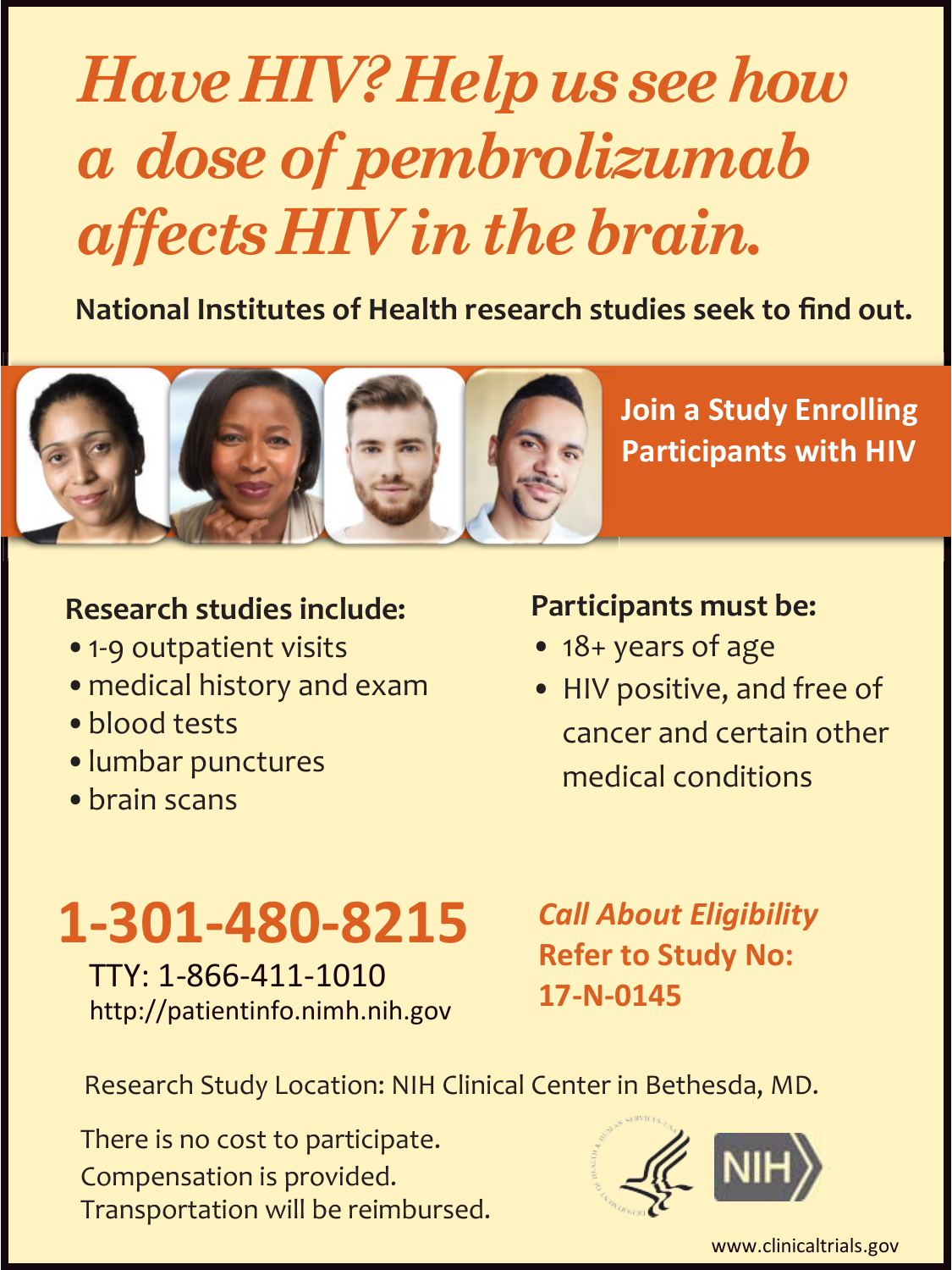# *HaveHIV?Helpus seehow affectsHIVinthebrain. a dose of pembrolizumab*

 **National Institutes of Health research studies seek to find out.**



- •1-9 outpatient visits
- •medical history and exam
- •blood tests
- •lumbar punctures
- •brain scans

### **Participants must be:**

- 18+ years of age
- HIV positive, and free of cancer and certain other medical conditions

**Join a Study Enrolling Participants with HIV** 

**1-301-480-8215** Call About Eligibility<br>
TTY: 1-866-411-1010 Refer to Study No:<br> [http://patientinfo.nimh.nih.gov](http://patientinfo.nimh.nih.gov/) 17-N-0145

Research Study Location: NIH Clinical Center in Bethesda, MD.

There is no cost to participate. Compensation is provided. Transportation will be reimbursed.



[www.clinicaltrials.gov](http://www.clinicaltrials.gov/)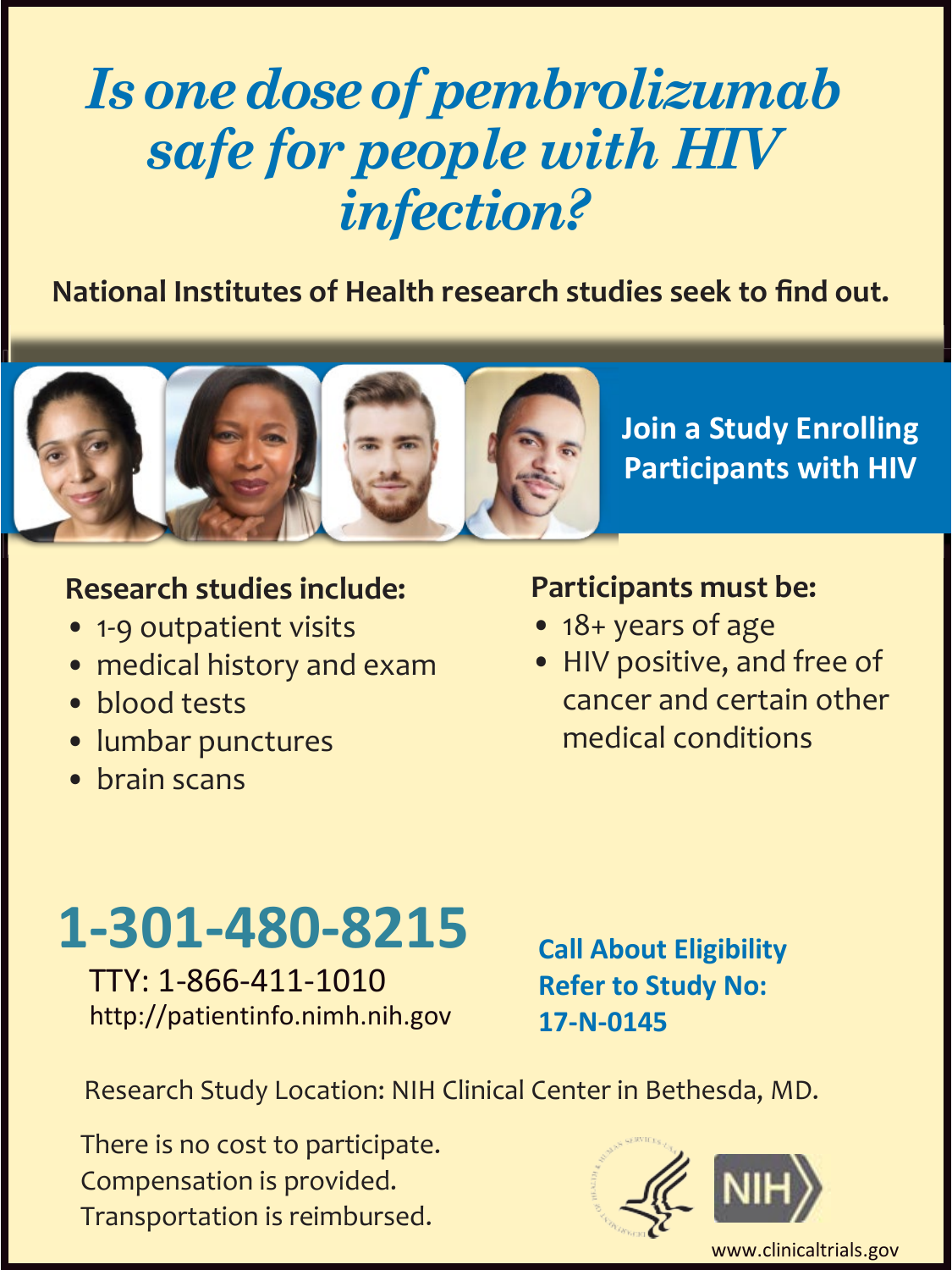### *Is onedoseof pembrolizumab safe for people with HIV infection?*

 **National Institutes of Health research studies seek to find out.**



### **Research studies include:**

- 1-9 outpatient visits
- medical history and exam
- blood tests
- lumbar punctures
- brain scans

### **Participants must be:**

- 18+ years of age
- cancer and certain other • HIV positive, and free of medical conditions

## **1-301-480-8215**

TTY: 1-866-411-1010 [http://patientinfo.nimh.nih.gov](http://patientinfo.nimh.nih.gov/)  **Call About Eligibility Refer to Study No: 17-N-0145** 

Research Study Location: NIH Clinical Center in Bethesda, MD.

 Compensation is provided. There is no cost to participate. Transportation is reimbursed.